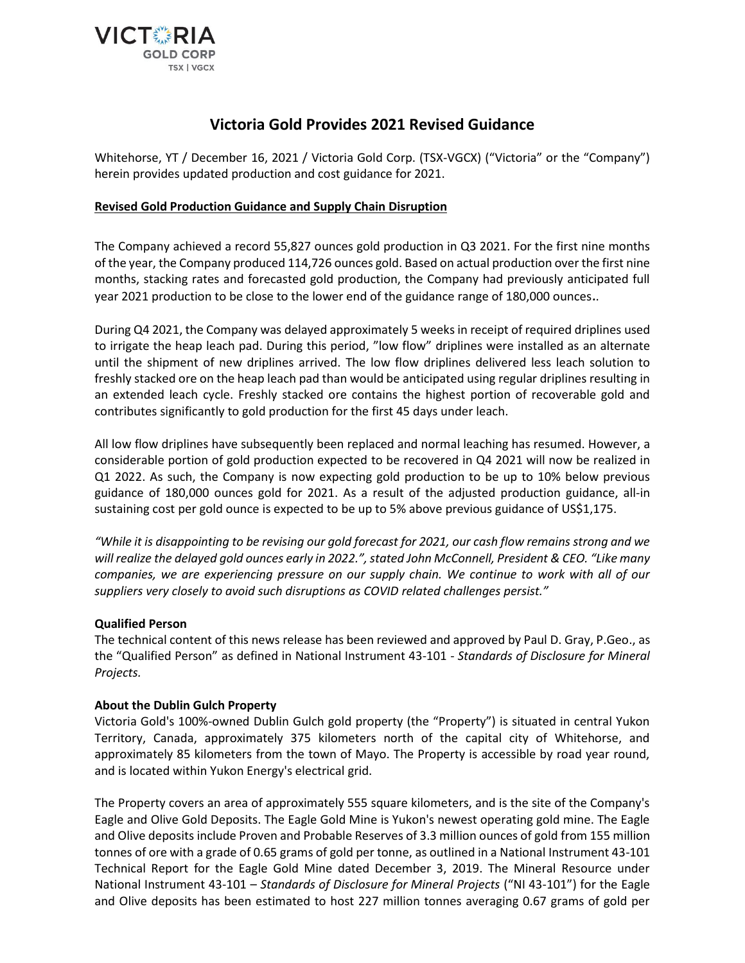

# **Victoria Gold Provides 2021 Revised Guidance**

Whitehorse, YT / December 16, 2021 / Victoria Gold Corp. (TSX-VGCX) ("Victoria" or the "Company") herein provides updated production and cost guidance for 2021.

## **Revised Gold Production Guidance and Supply Chain Disruption**

The Company achieved a record 55,827 ounces gold production in Q3 2021. For the first nine months of the year, the Company produced 114,726 ounces gold. Based on actual production over the first nine months, stacking rates and forecasted gold production, the Company had previously anticipated full year 2021 production to be close to the lower end of the guidance range of 180,000 ounces..

During Q4 2021, the Company was delayed approximately 5 weeks in receipt of required driplines used to irrigate the heap leach pad. During this period, "low flow" driplines were installed as an alternate until the shipment of new driplines arrived. The low flow driplines delivered less leach solution to freshly stacked ore on the heap leach pad than would be anticipated using regular driplines resulting in an extended leach cycle. Freshly stacked ore contains the highest portion of recoverable gold and contributes significantly to gold production for the first 45 days under leach.

All low flow driplines have subsequently been replaced and normal leaching has resumed. However, a considerable portion of gold production expected to be recovered in Q4 2021 will now be realized in Q1 2022. As such, the Company is now expecting gold production to be up to 10% below previous guidance of 180,000 ounces gold for 2021. As a result of the adjusted production guidance, all-in sustaining cost per gold ounce is expected to be up to 5% above previous guidance of US\$1,175.

*"While it is disappointing to be revising our gold forecast for 2021, our cash flow remains strong and we will realize the delayed gold ounces early in 2022.", stated John McConnell, President & CEO. "Like many companies, we are experiencing pressure on our supply chain. We continue to work with all of our suppliers very closely to avoid such disruptions as COVID related challenges persist."*

### **Qualified Person**

The technical content of this news release has been reviewed and approved by Paul D. Gray, P.Geo., as the "Qualified Person" as defined in National Instrument 43-101 - *Standards of Disclosure for Mineral Projects.*

# **About the Dublin Gulch Property**

Victoria Gold's 100%-owned Dublin Gulch gold property (the "Property") is situated in central Yukon Territory, Canada, approximately 375 kilometers north of the capital city of Whitehorse, and approximately 85 kilometers from the town of Mayo. The Property is accessible by road year round, and is located within Yukon Energy's electrical grid.

The Property covers an area of approximately 555 square kilometers, and is the site of the Company's Eagle and Olive Gold Deposits. The Eagle Gold Mine is Yukon's newest operating gold mine. The Eagle and Olive deposits include Proven and Probable Reserves of 3.3 million ounces of gold from 155 million tonnes of ore with a grade of 0.65 grams of gold per tonne, as outlined in a National Instrument 43-101 Technical Report for the Eagle Gold Mine dated December 3, 2019. The Mineral Resource under National Instrument 43-101 – *Standards of Disclosure for Mineral Projects* ("NI 43-101") for the Eagle and Olive deposits has been estimated to host 227 million tonnes averaging 0.67 grams of gold per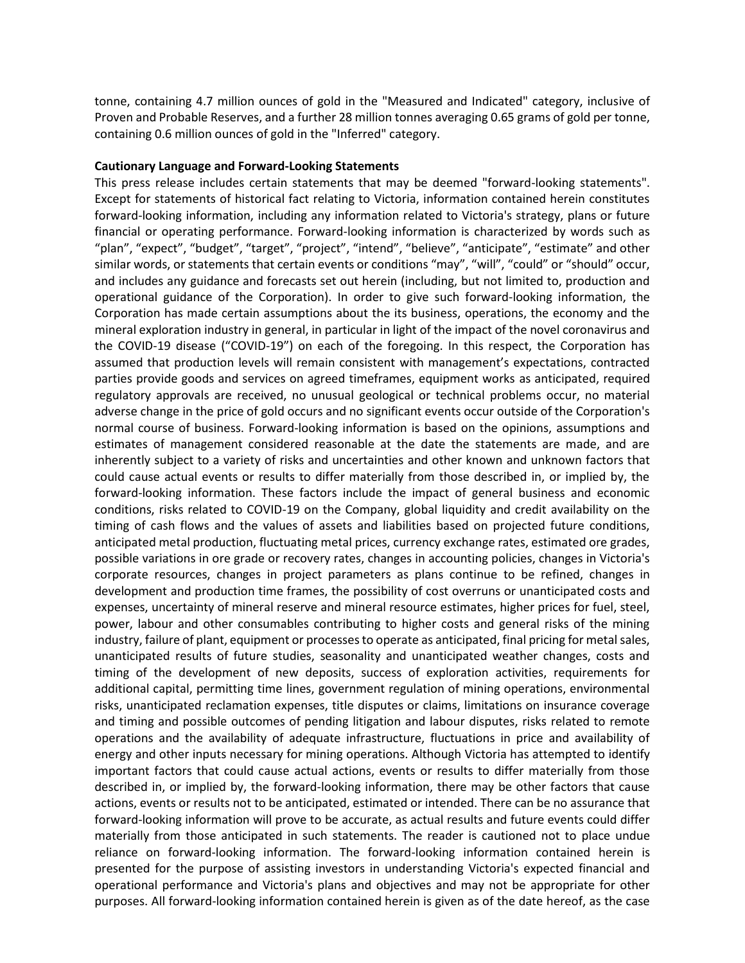tonne, containing 4.7 million ounces of gold in the "Measured and Indicated" category, inclusive of Proven and Probable Reserves, and a further 28 million tonnes averaging 0.65 grams of gold per tonne, containing 0.6 million ounces of gold in the "Inferred" category.

#### **Cautionary Language and Forward-Looking Statements**

This press release includes certain statements that may be deemed "forward-looking statements". Except for statements of historical fact relating to Victoria, information contained herein constitutes forward-looking information, including any information related to Victoria's strategy, plans or future financial or operating performance. Forward-looking information is characterized by words such as "plan", "expect", "budget", "target", "project", "intend", "believe", "anticipate", "estimate" and other similar words, or statements that certain events or conditions "may", "will", "could" or "should" occur, and includes any guidance and forecasts set out herein (including, but not limited to, production and operational guidance of the Corporation). In order to give such forward-looking information, the Corporation has made certain assumptions about the its business, operations, the economy and the mineral exploration industry in general, in particular in light of the impact of the novel coronavirus and the COVID-19 disease ("COVID-19") on each of the foregoing. In this respect, the Corporation has assumed that production levels will remain consistent with management's expectations, contracted parties provide goods and services on agreed timeframes, equipment works as anticipated, required regulatory approvals are received, no unusual geological or technical problems occur, no material adverse change in the price of gold occurs and no significant events occur outside of the Corporation's normal course of business. Forward-looking information is based on the opinions, assumptions and estimates of management considered reasonable at the date the statements are made, and are inherently subject to a variety of risks and uncertainties and other known and unknown factors that could cause actual events or results to differ materially from those described in, or implied by, the forward-looking information. These factors include the impact of general business and economic conditions, risks related to COVID-19 on the Company, global liquidity and credit availability on the timing of cash flows and the values of assets and liabilities based on projected future conditions, anticipated metal production, fluctuating metal prices, currency exchange rates, estimated ore grades, possible variations in ore grade or recovery rates, changes in accounting policies, changes in Victoria's corporate resources, changes in project parameters as plans continue to be refined, changes in development and production time frames, the possibility of cost overruns or unanticipated costs and expenses, uncertainty of mineral reserve and mineral resource estimates, higher prices for fuel, steel, power, labour and other consumables contributing to higher costs and general risks of the mining industry, failure of plant, equipment or processes to operate as anticipated, final pricing for metal sales, unanticipated results of future studies, seasonality and unanticipated weather changes, costs and timing of the development of new deposits, success of exploration activities, requirements for additional capital, permitting time lines, government regulation of mining operations, environmental risks, unanticipated reclamation expenses, title disputes or claims, limitations on insurance coverage and timing and possible outcomes of pending litigation and labour disputes, risks related to remote operations and the availability of adequate infrastructure, fluctuations in price and availability of energy and other inputs necessary for mining operations. Although Victoria has attempted to identify important factors that could cause actual actions, events or results to differ materially from those described in, or implied by, the forward-looking information, there may be other factors that cause actions, events or results not to be anticipated, estimated or intended. There can be no assurance that forward-looking information will prove to be accurate, as actual results and future events could differ materially from those anticipated in such statements. The reader is cautioned not to place undue reliance on forward-looking information. The forward-looking information contained herein is presented for the purpose of assisting investors in understanding Victoria's expected financial and operational performance and Victoria's plans and objectives and may not be appropriate for other purposes. All forward-looking information contained herein is given as of the date hereof, as the case